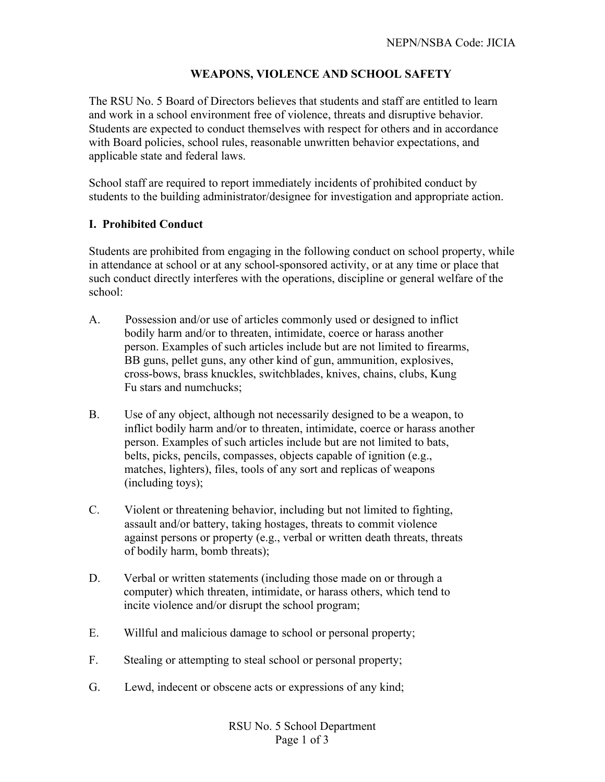# **WEAPONS, VIOLENCE AND SCHOOL SAFETY**

The RSU No. 5 Board of Directors believes that students and staff are entitled to learn and work in a school environment free of violence, threats and disruptive behavior. Students are expected to conduct themselves with respect for others and in accordance with Board policies, school rules, reasonable unwritten behavior expectations, and applicable state and federal laws.

School staff are required to report immediately incidents of prohibited conduct by students to the building administrator/designee for investigation and appropriate action.

## **I. Prohibited Conduct**

Students are prohibited from engaging in the following conduct on school property, while in attendance at school or at any school-sponsored activity, or at any time or place that such conduct directly interferes with the operations, discipline or general welfare of the school:

- A. Possession and/or use of articles commonly used or designed to inflict bodily harm and/or to threaten, intimidate, coerce or harass another person. Examples of such articles include but are not limited to firearms, BB guns, pellet guns, any other kind of gun, ammunition, explosives, cross-bows, brass knuckles, switchblades, knives, chains, clubs, Kung Fu stars and numchucks;
- B. Use of any object, although not necessarily designed to be a weapon, to inflict bodily harm and/or to threaten, intimidate, coerce or harass another person. Examples of such articles include but are not limited to bats, belts, picks, pencils, compasses, objects capable of ignition (e.g., matches, lighters), files, tools of any sort and replicas of weapons (including toys);
- C. Violent or threatening behavior, including but not limited to fighting, assault and/or battery, taking hostages, threats to commit violence against persons or property (e.g., verbal or written death threats, threats of bodily harm, bomb threats);
- D. Verbal or written statements (including those made on or through a computer) which threaten, intimidate, or harass others, which tend to incite violence and/or disrupt the school program;
- E. Willful and malicious damage to school or personal property;
- F. Stealing or attempting to steal school or personal property;
- G. Lewd, indecent or obscene acts or expressions of any kind;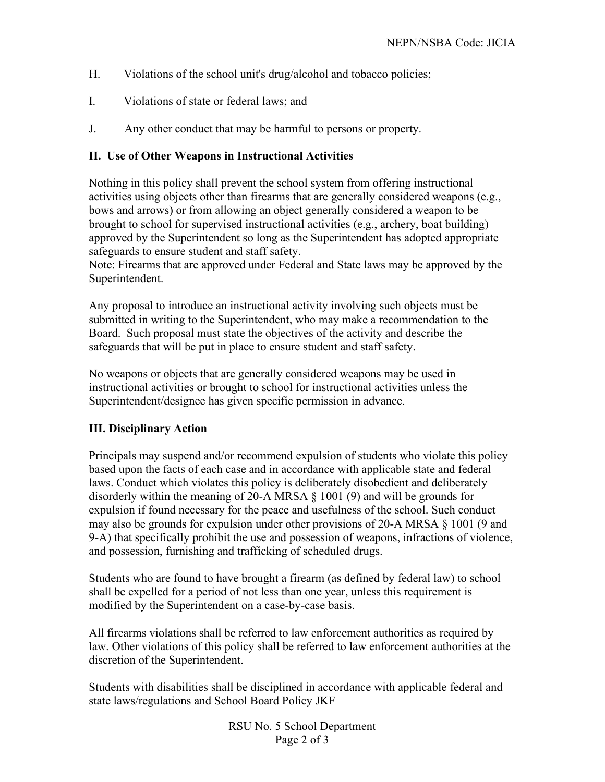- H. Violations of the school unit's drug/alcohol and tobacco policies;
- I. Violations of state or federal laws; and
- J. Any other conduct that may be harmful to persons or property.

## **II. Use of Other Weapons in Instructional Activities**

Nothing in this policy shall prevent the school system from offering instructional activities using objects other than firearms that are generally considered weapons (e.g., bows and arrows) or from allowing an object generally considered a weapon to be brought to school for supervised instructional activities (e.g., archery, boat building) approved by the Superintendent so long as the Superintendent has adopted appropriate safeguards to ensure student and staff safety.

Note: Firearms that are approved under Federal and State laws may be approved by the Superintendent.

Any proposal to introduce an instructional activity involving such objects must be submitted in writing to the Superintendent, who may make a recommendation to the Board. Such proposal must state the objectives of the activity and describe the safeguards that will be put in place to ensure student and staff safety.

No weapons or objects that are generally considered weapons may be used in instructional activities or brought to school for instructional activities unless the Superintendent/designee has given specific permission in advance.

### **III. Disciplinary Action**

Principals may suspend and/or recommend expulsion of students who violate this policy based upon the facts of each case and in accordance with applicable state and federal laws. Conduct which violates this policy is deliberately disobedient and deliberately disorderly within the meaning of 20-A MRSA § 1001 (9) and will be grounds for expulsion if found necessary for the peace and usefulness of the school. Such conduct may also be grounds for expulsion under other provisions of 20-A MRSA § 1001 (9 and 9-A) that specifically prohibit the use and possession of weapons, infractions of violence, and possession, furnishing and trafficking of scheduled drugs.

Students who are found to have brought a firearm (as defined by federal law) to school shall be expelled for a period of not less than one year, unless this requirement is modified by the Superintendent on a case-by-case basis.

All firearms violations shall be referred to law enforcement authorities as required by law. Other violations of this policy shall be referred to law enforcement authorities at the discretion of the Superintendent.

Students with disabilities shall be disciplined in accordance with applicable federal and state laws/regulations and School Board Policy JKF

> RSU No. 5 School Department Page 2 of 3